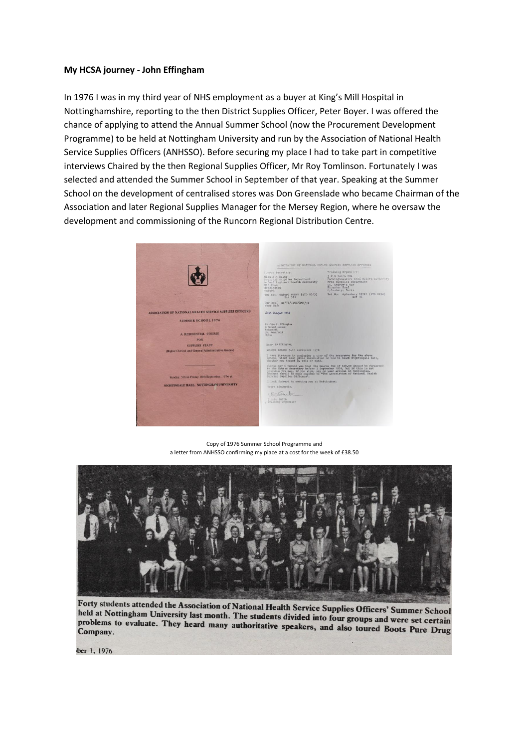## **My HCSA journey - John Effingham**

In 1976 I was in my third year of NHS employment as a buyer at King's Mill Hospital in Nottinghamshire, reporting to the then District Supplies Officer, Peter Boyer. I was offered the chance of applying to attend the Annual Summer School (now the Procurement Development Programme) to be held at Nottingham University and run by the Association of National Health Service Supplies Officers (ANHSSO). Before securing my place I had to take part in competitive interviews Chaired by the then Regional Supplies Officer, Mr Roy Tomlinson. Fortunately I was selected and attended the Summer School in September of that year. Speaking at the Summer School on the development of centralised stores was Don Greenslade who became Chairman of the Association and later Regional Supplies Manager for the Mersey Region, where he oversaw the development and commissioning of the Runcorn Regional Distribution Centre.

|                                                          | ASSOCIATION OF NATIONAL HEALTH SERVICE SUPPLIES OFFICERS                                                                                                                                                                                                                                                                                                                                                                                                                                                          |                                                                                                                                               |
|----------------------------------------------------------|-------------------------------------------------------------------------------------------------------------------------------------------------------------------------------------------------------------------------------------------------------------------------------------------------------------------------------------------------------------------------------------------------------------------------------------------------------------------------------------------------------------------|-----------------------------------------------------------------------------------------------------------------------------------------------|
|                                                          | Course Secretary:                                                                                                                                                                                                                                                                                                                                                                                                                                                                                                 | Training Organisar:                                                                                                                           |
|                                                          | Miss A M Hales<br>Regional Supplies Department<br>Oxford Regional Health Authority<br>Dang hio<br>Headington<br>Oxford:                                                                                                                                                                                                                                                                                                                                                                                           | J E O Smith FHA<br>Buckinghamshire Area Health Authority<br>Area Supplies Department<br>St. Andrew's Way<br>Bicester Road<br>Aylesbury, Bucks |
|                                                          | Tel No: Oxford 64861 (STD 0865)<br>Ext 393                                                                                                                                                                                                                                                                                                                                                                                                                                                                        | Tel No: Avlesbury 89721 (STD 0296)<br><b>Ext</b> 35                                                                                           |
|                                                          | Our Ref: \$5/76/JEOS/ANH/JB<br>Your Ref:                                                                                                                                                                                                                                                                                                                                                                                                                                                                          |                                                                                                                                               |
| ASSOCIATION OF NATIONAL HEALTH SERVICE SUPPLIES OFFICERS | 2nd august 1976                                                                                                                                                                                                                                                                                                                                                                                                                                                                                                   |                                                                                                                                               |
| <b>SUMMER SCHOOL 1976</b><br><b>A RESIDENTIAL COURSE</b> | Mr John H. Sffingham<br>6 Second Avenue<br>Rainworth<br>Nr. Mannfield<br>Notte                                                                                                                                                                                                                                                                                                                                                                                                                                    |                                                                                                                                               |
| <b>FOR</b>                                               |                                                                                                                                                                                                                                                                                                                                                                                                                                                                                                                   |                                                                                                                                               |
| <b>SUPPLIES STAFF</b>                                    | Dear Nr Effington,                                                                                                                                                                                                                                                                                                                                                                                                                                                                                                |                                                                                                                                               |
| (Higher Clerical and General Administrative Grades)      | SUNNER SCHOOL 5-10 SEPTEMBER 1976                                                                                                                                                                                                                                                                                                                                                                                                                                                                                 |                                                                                                                                               |
|                                                          | I have pleasure in enclosing a copy of the programme for the above<br>School, which also gives information on how to reach Nightingale Hall,<br>whether you travel by rail or road.<br>Please may I remind you that the Course fee of £38.50 should be forwarded to the Course Secretary before 3 September 1976, but if this is not<br>possible you may, if you wish, pay on your arrival at Nottingham.<br>Cheques should be made payable to "The Association of National Health<br>Service Supplies Officers". |                                                                                                                                               |
| Sunday, 5th to Friday 10th September, 1976 at            |                                                                                                                                                                                                                                                                                                                                                                                                                                                                                                                   |                                                                                                                                               |
| NIGHTINGALE HALL, NOTTINGHAM UNIVERSITY                  | I look forward to meeting you at Nottingham.<br>Yours sincerely.                                                                                                                                                                                                                                                                                                                                                                                                                                                  |                                                                                                                                               |
|                                                          |                                                                                                                                                                                                                                                                                                                                                                                                                                                                                                                   |                                                                                                                                               |
|                                                          | J.W.O. Smith<br>Training Organiser                                                                                                                                                                                                                                                                                                                                                                                                                                                                                |                                                                                                                                               |
|                                                          |                                                                                                                                                                                                                                                                                                                                                                                                                                                                                                                   |                                                                                                                                               |
|                                                          |                                                                                                                                                                                                                                                                                                                                                                                                                                                                                                                   |                                                                                                                                               |
|                                                          |                                                                                                                                                                                                                                                                                                                                                                                                                                                                                                                   |                                                                                                                                               |
|                                                          |                                                                                                                                                                                                                                                                                                                                                                                                                                                                                                                   |                                                                                                                                               |

Copy of 1976 Summer School Programme and a letter from ANHSSO confirming my place at a cost for the week of £38.50



Forty students attended the Association of National Health Service Supplies Officers' Summer School held at Nottingham University last month. The students divided into four groups and were set certain<br>problems to evaluate. They heard many authoritative encodes into four groups and were set certain problems to evaluate. They heard many authoritative speakers, and also toured Boots Pure Drug<br>Company. Company.

ber 1, 1976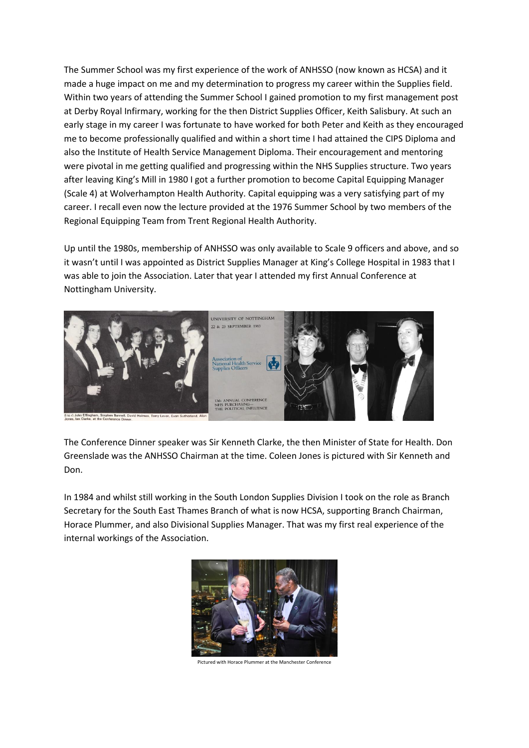The Summer School was my first experience of the work of ANHSSO (now known as HCSA) and it made a huge impact on me and my determination to progress my career within the Supplies field. Within two years of attending the Summer School I gained promotion to my first management post at Derby Royal Infirmary, working for the then District Supplies Officer, Keith Salisbury. At such an early stage in my career I was fortunate to have worked for both Peter and Keith as they encouraged me to become professionally qualified and within a short time I had attained the CIPS Diploma and also the Institute of Health Service Management Diploma. Their encouragement and mentoring were pivotal in me getting qualified and progressing within the NHS Supplies structure. Two years after leaving King's Mill in 1980 I got a further promotion to become Capital Equipping Manager (Scale 4) at Wolverhampton Health Authority. Capital equipping was a very satisfying part of my career. I recall even now the lecture provided at the 1976 Summer School by two members of the Regional Equipping Team from Trent Regional Health Authority.

Up until the 1980s, membership of ANHSSO was only available to Scale 9 officers and above, and so it wasn't until I was appointed as District Supplies Manager at King's College Hospital in 1983 that I was able to join the Association. Later that year I attended my first Annual Conference at Nottingham University.



The Conference Dinner speaker was Sir Kenneth Clarke, the then Minister of State for Health. Don Greenslade was the ANHSSO Chairman at the time. Coleen Jones is pictured with Sir Kenneth and Don.

In 1984 and whilst still working in the South London Supplies Division I took on the role as Branch Secretary for the South East Thames Branch of what is now HCSA, supporting Branch Chairman, Horace Plummer, and also Divisional Supplies Manager. That was my first real experience of the internal workings of the Association.



Pictured with Horace Plummer at the Manchester Conference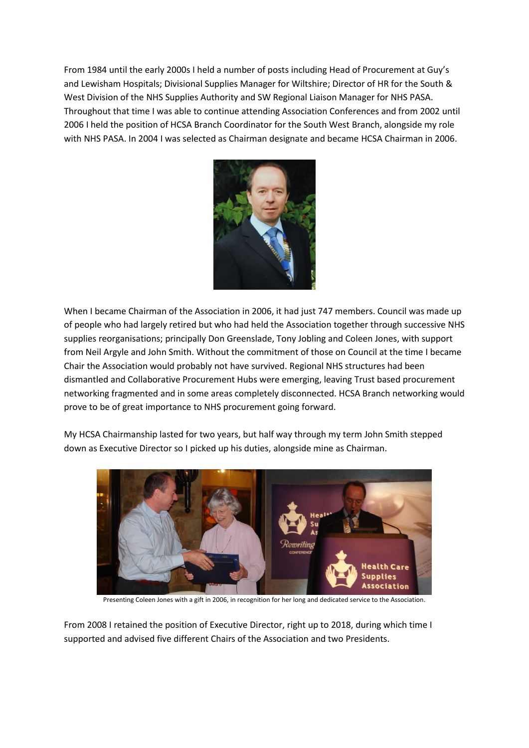From 1984 until the early 2000s I held a number of posts including Head of Procurement at Guy's and Lewisham Hospitals; Divisional Supplies Manager for Wiltshire; Director of HR for the South & West Division of the NHS Supplies Authority and SW Regional Liaison Manager for NHS PASA. Throughout that time I was able to continue attending Association Conferences and from 2002 until 2006 I held the position of HCSA Branch Coordinator for the South West Branch, alongside my role with NHS PASA. In 2004 I was selected as Chairman designate and became HCSA Chairman in 2006.



When I became Chairman of the Association in 2006, it had just 747 members. Council was made up of people who had largely retired but who had held the Association together through successive NHS supplies reorganisations; principally Don Greenslade, Tony Jobling and Coleen Jones, with support from Neil Argyle and John Smith. Without the commitment of those on Council at the time I became Chair the Association would probably not have survived. Regional NHS structures had been dismantled and Collaborative Procurement Hubs were emerging, leaving Trust based procurement networking fragmented and in some areas completely disconnected. HCSA Branch networking would prove to be of great importance to NHS procurement going forward.



My HCSA Chairmanship lasted for two years, but half way through my term John Smith stepped down as Executive Director so I picked up his duties, alongside mine as Chairman.

Presenting Coleen Jones with a gift in 2006, in recognition for her long and dedicated service to the Association.

From 2008 I retained the position of Executive Director, right up to 2018, during which time I supported and advised five different Chairs of the Association and two Presidents.